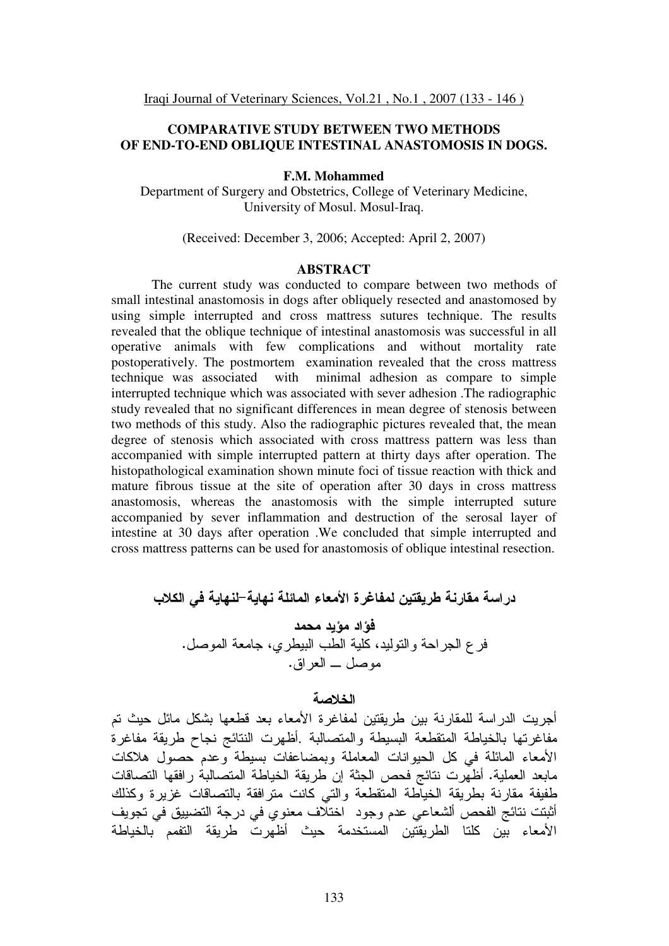## **COMPARATIVE STUDY BETWEEN TWO METHODS OF END-TO-END OBLIQUE INTESTINAL ANASTOMOSIS IN DOGS.**

#### **F.M. Mohammed**

Department of Surgery and Obstetrics, College of Veterinary Medicine, University of Mosul. Mosul-Iraq.

(Received: December 3, 2006; Accepted: April 2, 2007)

#### **ABSTRACT**

The current study was conducted to compare between two methods of small intestinal anastomosis in dogs after obliquely resected and anastomosed by using simple interrupted and cross mattress sutures technique. The results revealed that the oblique technique of intestinal anastomosis was successful in all operative animals with few complications and without mortality rate postoperatively. The postmortem examination revealed that the cross mattress technique was associated with minimal adhesion as compare to simple interrupted technique which was associated with sever adhesion .The radiographic study revealed that no significant differences in mean degree of stenosis between two methods of this study. Also the radiographic pictures revealed that, the mean degree of stenosis which associated with cross mattress pattern was less than accompanied with simple interrupted pattern at thirty days after operation. The histopathological examination shown minute foci of tissue reaction with thick and mature fibrous tissue at the site of operation after 30 days in cross mattress anastomosis, whereas the anastomosis with the simple interrupted suture accompanied by sever inflammation and destruction of the serosal layer of intestine at 30 days after operation .We concluded that simple interrupted and cross mattress patterns can be used for anastomosis of oblique intestinal resection.

در اسة مقارنة طريقتين لمفاغرة الأمعاء المائلة نهاية–لنهاية في الكلاب فَوَّاد مؤيد محمد فر ع الـجراحة والنوليد، كلية الطب البيطري، جامعة الموصل. موصل \_ العراق.

# الخلاصة

أجريت الدراسة للمقارنة بين طريقتين لمفاغرة الأمعاء بعد قطعها بشكل مائل حيث تم مفاغرتها بالخياطة المتقطعة البسيطة والمتصالبة .أظهرت النتائج نجاح طريقة مفاغرة الأمعاء المائلة في كل الحيوانات المعاملة وبمضاعفات بسيطة وعدم حصول هلاكات مابعد العملية. أظهرت نتائج فحص الجثة إن طريقة الخياطة المتصالبة رافقها التصاقات طفيفة مقارنة بطريقة الخياطة المتقطعة والتي كانت مترافقة بالتصاقات غزيرة وكذلك أثبتت نتائج الفحص ألشعاعي عدم وجود اختلاف معنوي في درجة التضبيق في تجويف الأمعاء بين كلنا الطريقتين المستخدمة حيث أظهرت طريقة التفمم بالخياطة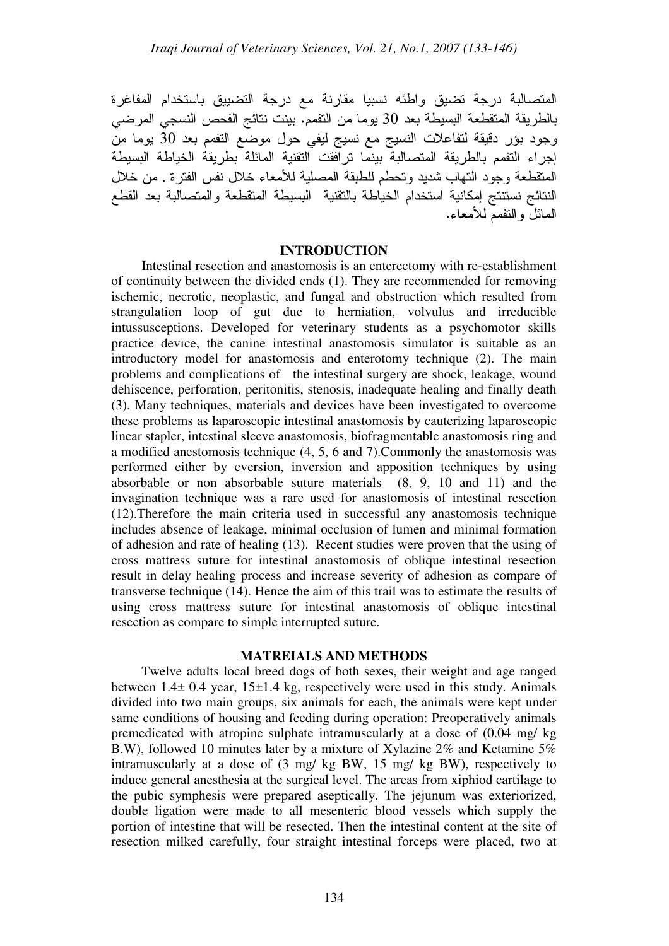المتصالبة درجة تضيق واطئه نسبيا مقارنة مع درجة التضبيق باستخدام المفاغرة بالطريقة المتقطعة البسيطة بعد 30 يوما من التفمم. بينت نتائج الفحص النسجي المرضي وجود بؤر دقيقة لتفاعلات النسيج مع نسيج ليفي حول موضّع التفمم بعد 30 يوما من إجراء التفمم بالطريقة المتصالبة بينما ترافقت التقنية المائلة بطريقة الخياطة البسيطة المنقطعة وجود النهاب شديد وتحطم للطبقة المصلية للأمعاء خلال نفس الفترة . من خلال النتائج نستنتج إمكانية استخدام الخياطة بالتقنية البسيطة المتقطعة والمتصالبة بعد القطع الممائل والنفمم للأمعاء.

#### **INTRODUCTION**

Intestinal resection and anastomosis is an enterectomy with re-establishment of continuity between the divided ends (1). They are recommended for removing ischemic, necrotic, neoplastic, and fungal and obstruction which resulted from strangulation loop of gut due to herniation, volvulus and irreducible intussusceptions. Developed for veterinary students as a psychomotor skills practice device, the canine intestinal anastomosis simulator is suitable as an introductory model for anastomosis and enterotomy technique (2). The main problems and complications of the intestinal surgery are shock, leakage, wound dehiscence, perforation, peritonitis, stenosis, inadequate healing and finally death (3). Many techniques, materials and devices have been investigated to overcome these problems as laparoscopic intestinal anastomosis by cauterizing laparoscopic linear stapler, intestinal sleeve anastomosis, biofragmentable anastomosis ring and a modified anestomosis technique (4, 5, 6 and 7).Commonly the anastomosis was performed either by eversion, inversion and apposition techniques by using absorbable or non absorbable suture materials (8, 9, 10 and 11) and the invagination technique was a rare used for anastomosis of intestinal resection (12).Therefore the main criteria used in successful any anastomosis technique includes absence of leakage, minimal occlusion of lumen and minimal formation of adhesion and rate of healing (13). Recent studies were proven that the using of cross mattress suture for intestinal anastomosis of oblique intestinal resection result in delay healing process and increase severity of adhesion as compare of transverse technique (14). Hence the aim of this trail was to estimate the results of using cross mattress suture for intestinal anastomosis of oblique intestinal resection as compare to simple interrupted suture.

### **MATREIALS AND METHODS**

Twelve adults local breed dogs of both sexes, their weight and age ranged between 1.4± 0.4 year, 15±1.4 kg, respectively were used in this study. Animals divided into two main groups, six animals for each, the animals were kept under same conditions of housing and feeding during operation: Preoperatively animals premedicated with atropine sulphate intramuscularly at a dose of (0.04 mg/ kg B.W), followed 10 minutes later by a mixture of Xylazine 2% and Ketamine 5% intramuscularly at a dose of (3 mg/ kg BW, 15 mg/ kg BW), respectively to induce general anesthesia at the surgical level. The areas from xiphiod cartilage to the pubic symphesis were prepared aseptically. The jejunum was exteriorized, double ligation were made to all mesenteric blood vessels which supply the portion of intestine that will be resected. Then the intestinal content at the site of resection milked carefully, four straight intestinal forceps were placed, two at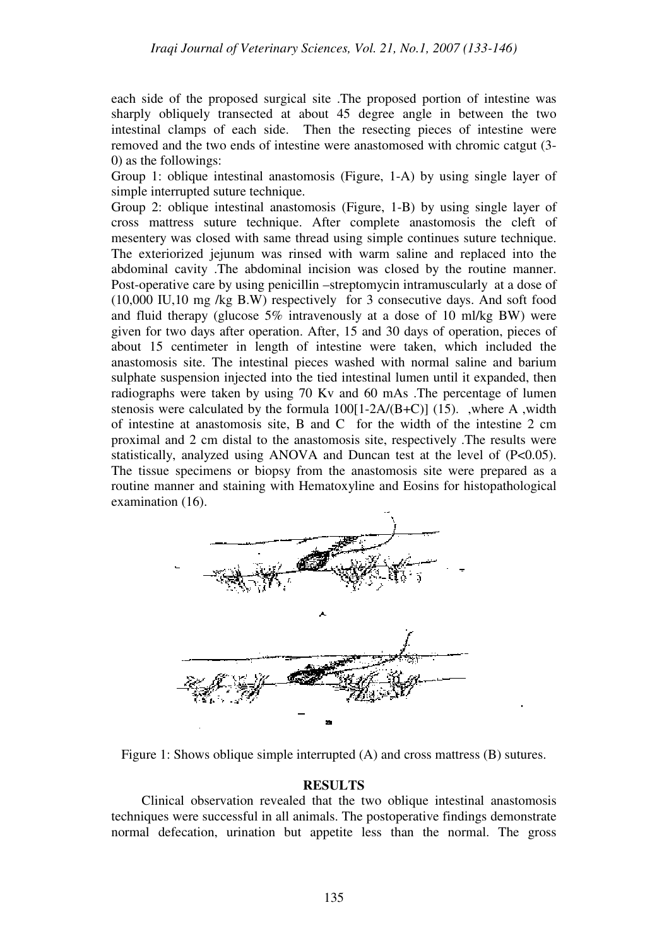each side of the proposed surgical site .The proposed portion of intestine was sharply obliquely transected at about 45 degree angle in between the two intestinal clamps of each side. Then the resecting pieces of intestine were removed and the two ends of intestine were anastomosed with chromic catgut (3- 0) as the followings:

Group 1: oblique intestinal anastomosis (Figure, 1-A) by using single layer of simple interrupted suture technique.

Group 2: oblique intestinal anastomosis (Figure, 1-B) by using single layer of cross mattress suture technique. After complete anastomosis the cleft of mesentery was closed with same thread using simple continues suture technique. The exteriorized jejunum was rinsed with warm saline and replaced into the abdominal cavity .The abdominal incision was closed by the routine manner. Post-operative care by using penicillin –streptomycin intramuscularly at a dose of (10,000 IU,10 mg /kg B.W) respectively for 3 consecutive days. And soft food and fluid therapy (glucose 5% intravenously at a dose of 10 ml/kg BW) were given for two days after operation. After, 15 and 30 days of operation, pieces of about 15 centimeter in length of intestine were taken, which included the anastomosis site. The intestinal pieces washed with normal saline and barium sulphate suspension injected into the tied intestinal lumen until it expanded, then radiographs were taken by using 70 Kv and 60 mAs .The percentage of lumen stenosis were calculated by the formula  $100[1-2A/(B+C)]$  (15). ,where A ,width of intestine at anastomosis site, B and C for the width of the intestine 2 cm proximal and 2 cm distal to the anastomosis site, respectively .The results were statistically, analyzed using ANOVA and Duncan test at the level of (P<0.05). The tissue specimens or biopsy from the anastomosis site were prepared as a routine manner and staining with Hematoxyline and Eosins for histopathological examination (16).



Figure 1: Shows oblique simple interrupted (A) and cross mattress (B) sutures.

#### **RESULTS**

Clinical observation revealed that the two oblique intestinal anastomosis techniques were successful in all animals. The postoperative findings demonstrate normal defecation, urination but appetite less than the normal. The gross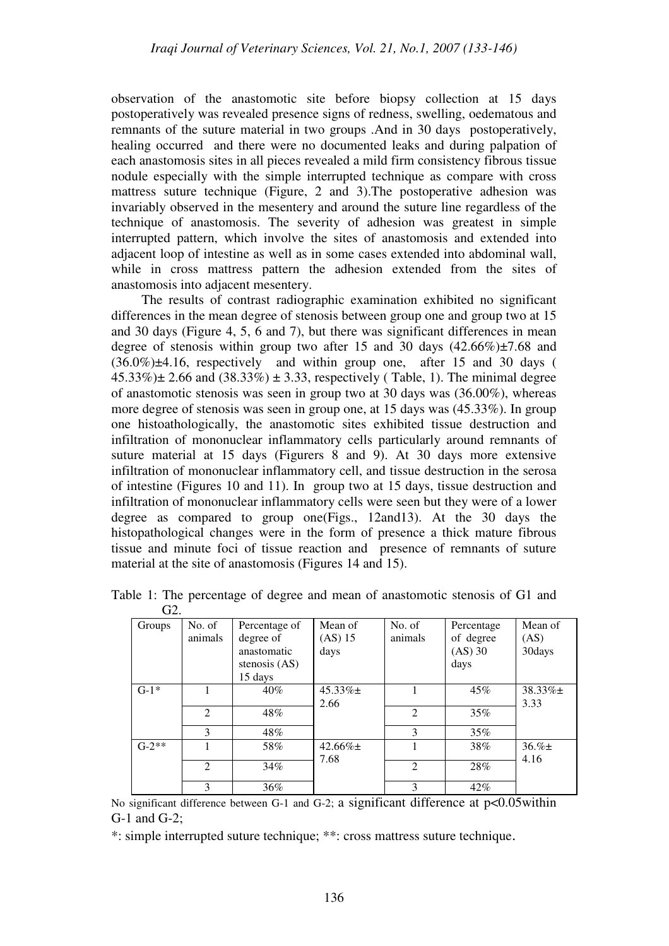observation of the anastomotic site before biopsy collection at 15 days postoperatively was revealed presence signs of redness, swelling, oedematous and remnants of the suture material in two groups .And in 30 days postoperatively, healing occurred and there were no documented leaks and during palpation of each anastomosis sites in all pieces revealed a mild firm consistency fibrous tissue nodule especially with the simple interrupted technique as compare with cross mattress suture technique (Figure, 2 and 3).The postoperative adhesion was invariably observed in the mesentery and around the suture line regardless of the technique of anastomosis. The severity of adhesion was greatest in simple interrupted pattern, which involve the sites of anastomosis and extended into adjacent loop of intestine as well as in some cases extended into abdominal wall, while in cross mattress pattern the adhesion extended from the sites of anastomosis into adjacent mesentery.

The results of contrast radiographic examination exhibited no significant differences in the mean degree of stenosis between group one and group two at 15 and 30 days (Figure 4, 5, 6 and 7), but there was significant differences in mean degree of stenosis within group two after 15 and 30 days  $(42.66\%) \pm 7.68$  and (36.0%)±4.16, respectively and within group one, after 15 and 30 days (  $45.33\%$   $\pm$  2.66 and (38.33%)  $\pm$  3.33, respectively (Table, 1). The minimal degree of anastomotic stenosis was seen in group two at 30 days was (36.00%), whereas more degree of stenosis was seen in group one, at 15 days was (45.33%). In group one histoathologically, the anastomotic sites exhibited tissue destruction and infiltration of mononuclear inflammatory cells particularly around remnants of suture material at 15 days (Figurers 8 and 9). At 30 days more extensive infiltration of mononuclear inflammatory cell, and tissue destruction in the serosa of intestine (Figures 10 and 11). In group two at 15 days, tissue destruction and infiltration of mononuclear inflammatory cells were seen but they were of a lower degree as compared to group one(Figs., 12and13). At the 30 days the histopathological changes were in the form of presence a thick mature fibrous tissue and minute foci of tissue reaction and presence of remnants of suture material at the site of anastomosis (Figures 14 and 15).

| uz.     |                             |                 |               |         |            |               |
|---------|-----------------------------|-----------------|---------------|---------|------------|---------------|
| Groups  | No. of                      | Percentage of   | Mean of       | No. of  | Percentage | Mean of       |
|         | animals                     | degree of       | $(AS)$ 15     | animals | of degree  | (AS)          |
|         |                             | anastomatic     | days          |         | $(AS)$ 30  | 30days        |
|         |                             | stenosis $(AS)$ |               |         | days       |               |
|         |                             | 15 days         |               |         |            |               |
| $G-1*$  |                             | $40\%$          | $45.33\% \pm$ |         | 45%        | $38.33\% \pm$ |
|         |                             |                 | 2.66          |         |            | 3.33          |
|         | 2                           | 48%             |               | 2       | $35\%$     |               |
|         | 3                           | 48%             |               | 3       | $35\%$     |               |
| $G-2**$ |                             | 58%             | $42.66\% \pm$ |         | 38%        | $36. \% \pm$  |
|         |                             |                 | 7.68          |         |            | 4.16          |
|         | $\mathcal{D}_{\mathcal{L}}$ | 34%             |               | 2       | 28%        |               |
|         | 3                           | 36%             |               | 3       | 42%        |               |

Table 1: The percentage of degree and mean of anastomotic stenosis of G1 and  $G<sub>2</sub>$ 

No significant difference between G-1 and G-2; a significant difference at  $p<0.05$  within G-1 and G-2;

\*: simple interrupted suture technique; \*\*: cross mattress suture technique.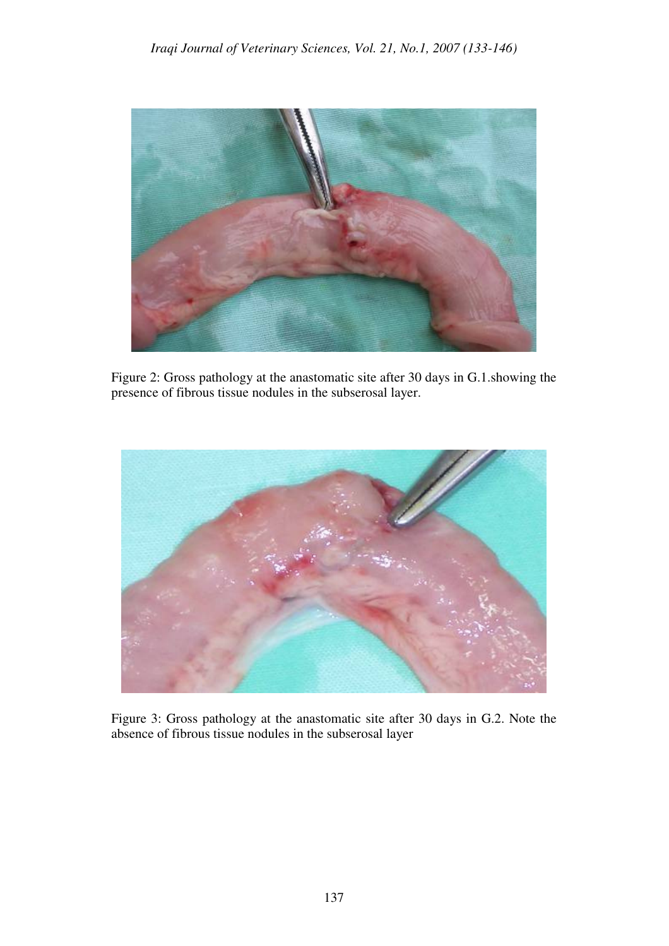

Figure 2: Gross pathology at the anastomatic site after 30 days in G.1.showing the presence of fibrous tissue nodules in the subserosal layer.



Figure 3: Gross pathology at the anastomatic site after 30 days in G.2. Note the absence of fibrous tissue nodules in the subserosal layer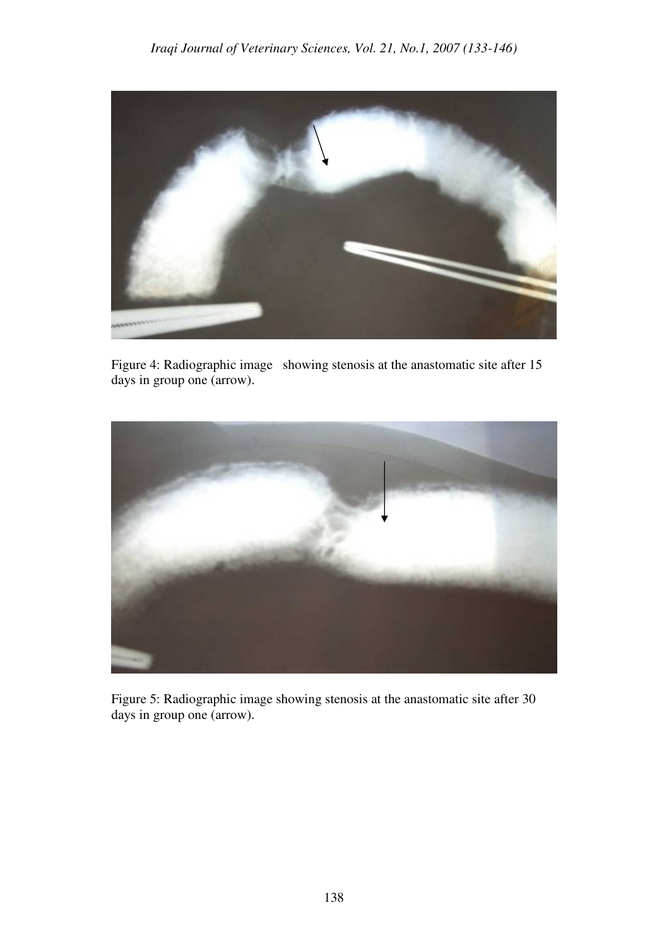

Figure 4: Radiographic image showing stenosis at the anastomatic site after 15 days in group one (arrow).



Figure 5: Radiographic image showing stenosis at the anastomatic site after 30 days in group one (arrow).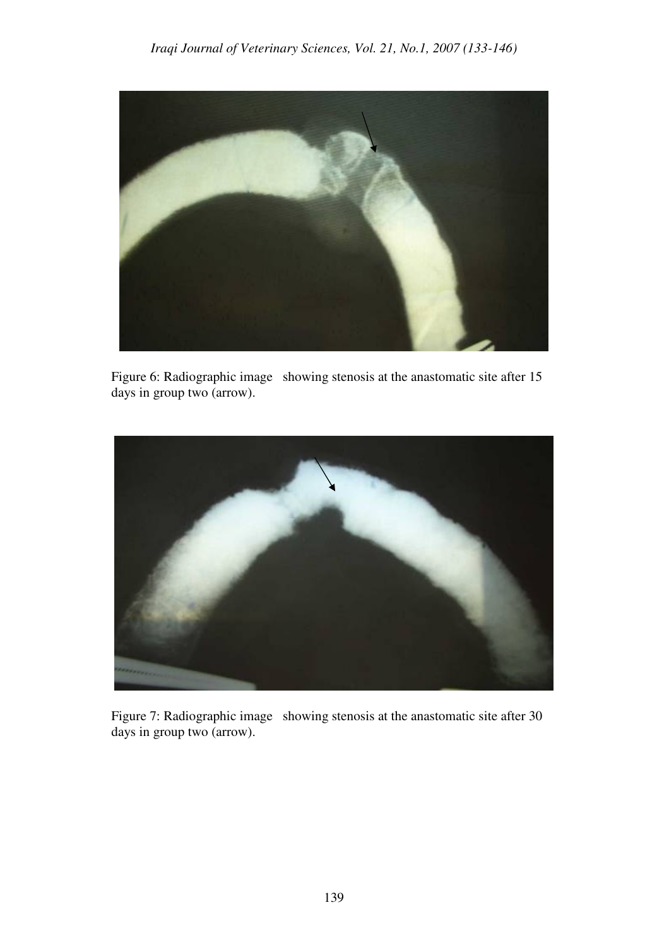

Figure 6: Radiographic image showing stenosis at the anastomatic site after 15 days in group two (arrow).



Figure 7: Radiographic image showing stenosis at the anastomatic site after 30 days in group two (arrow).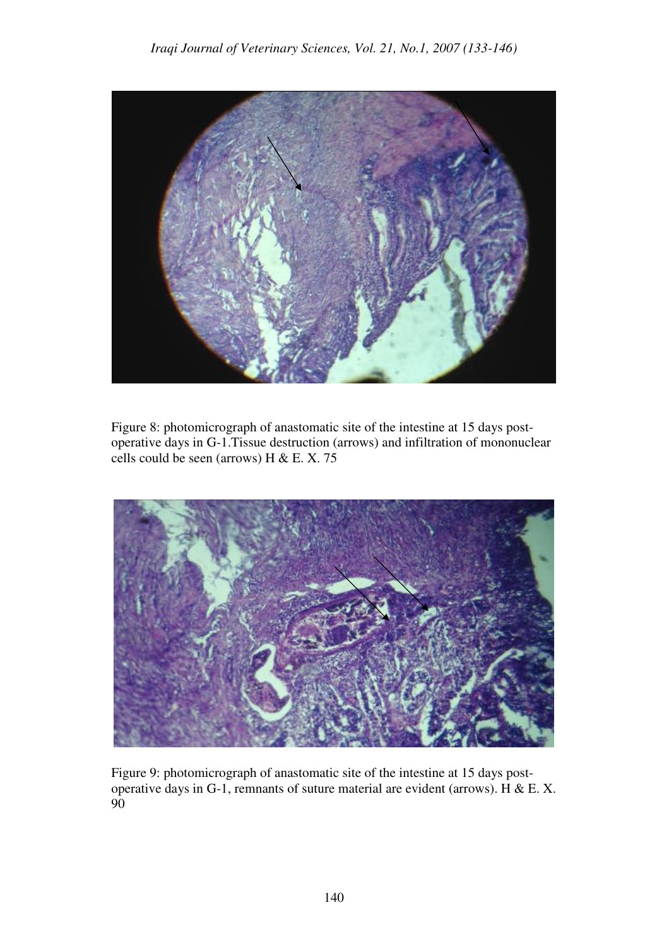

Figure 8: photomicrograph of anastomatic site of the intestine at 15 days postoperative days in G-1.Tissue destruction (arrows) and infiltration of mononuclear cells could be seen (arrows) H & E. X. 75



Figure 9: photomicrograph of anastomatic site of the intestine at 15 days postoperative days in G-1, remnants of suture material are evident (arrows). H & E. X. 90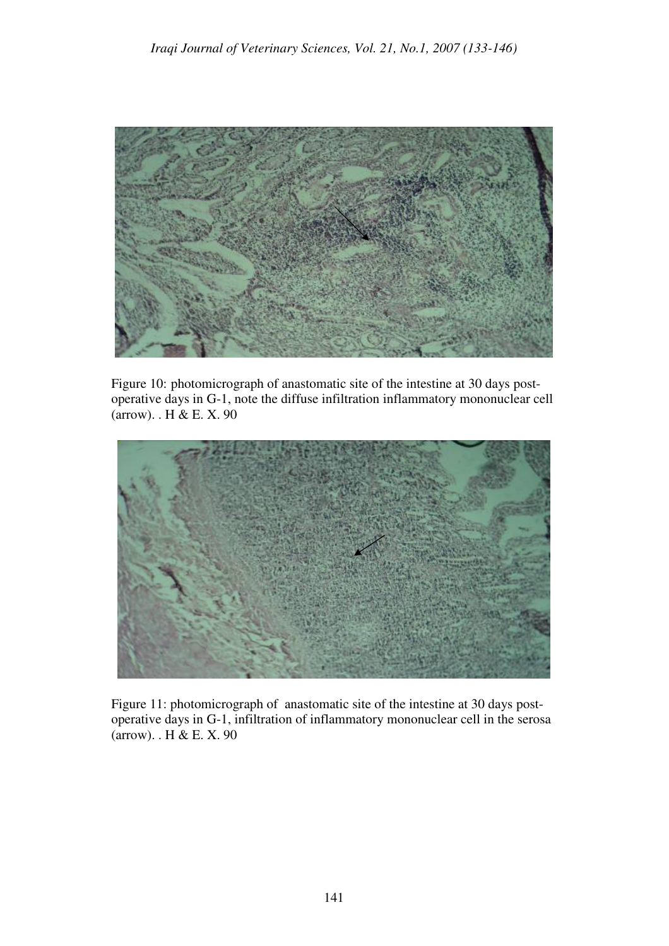

Figure 10: photomicrograph of anastomatic site of the intestine at 30 days postoperative days in G-1, note the diffuse infiltration inflammatory mononuclear cell (arrow). . H & E. X. 90



Figure 11: photomicrograph of anastomatic site of the intestine at 30 days postoperative days in G-1, infiltration of inflammatory mononuclear cell in the serosa (arrow). . H & E. X. 90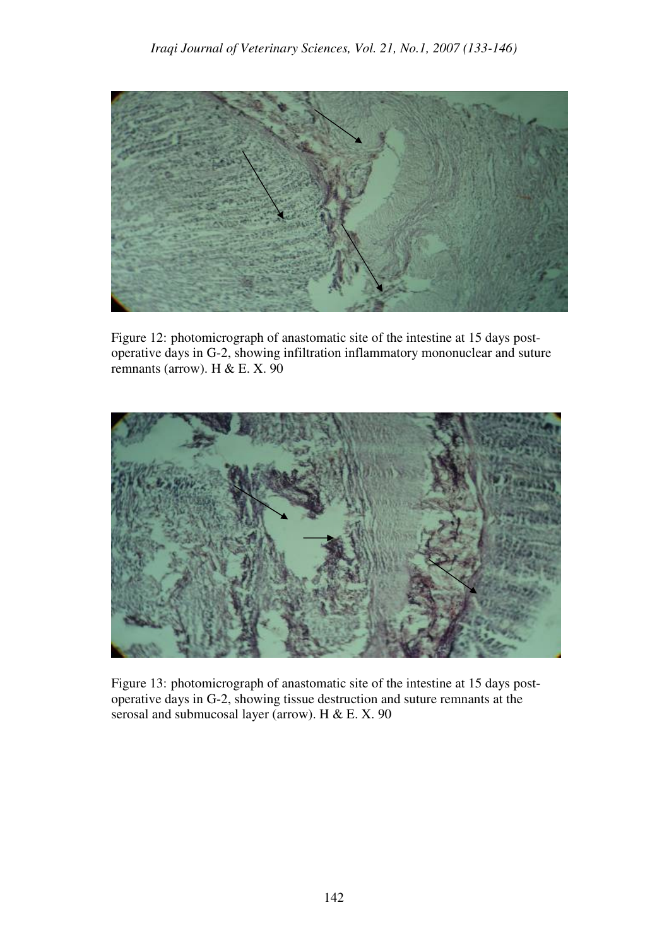

Figure 12: photomicrograph of anastomatic site of the intestine at 15 days postoperative days in G-2, showing infiltration inflammatory mononuclear and suture remnants (arrow). H & E. X.  $90$ 



Figure 13: photomicrograph of anastomatic site of the intestine at 15 days postoperative days in G-2, showing tissue destruction and suture remnants at the serosal and submucosal layer (arrow). H & E. X. 90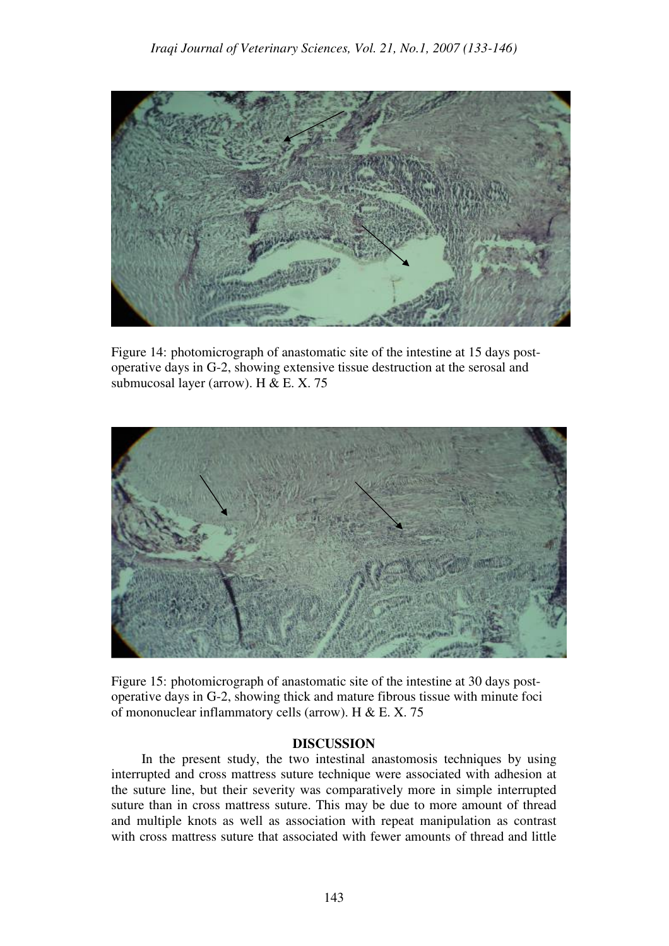

Figure 14: photomicrograph of anastomatic site of the intestine at 15 days postoperative days in G-2, showing extensive tissue destruction at the serosal and submucosal layer (arrow). H & E. X. 75



Figure 15: photomicrograph of anastomatic site of the intestine at 30 days postoperative days in G-2, showing thick and mature fibrous tissue with minute foci of mononuclear inflammatory cells (arrow). H & E. X. 75

## **DISCUSSION**

In the present study, the two intestinal anastomosis techniques by using interrupted and cross mattress suture technique were associated with adhesion at the suture line, but their severity was comparatively more in simple interrupted suture than in cross mattress suture. This may be due to more amount of thread and multiple knots as well as association with repeat manipulation as contrast with cross mattress suture that associated with fewer amounts of thread and little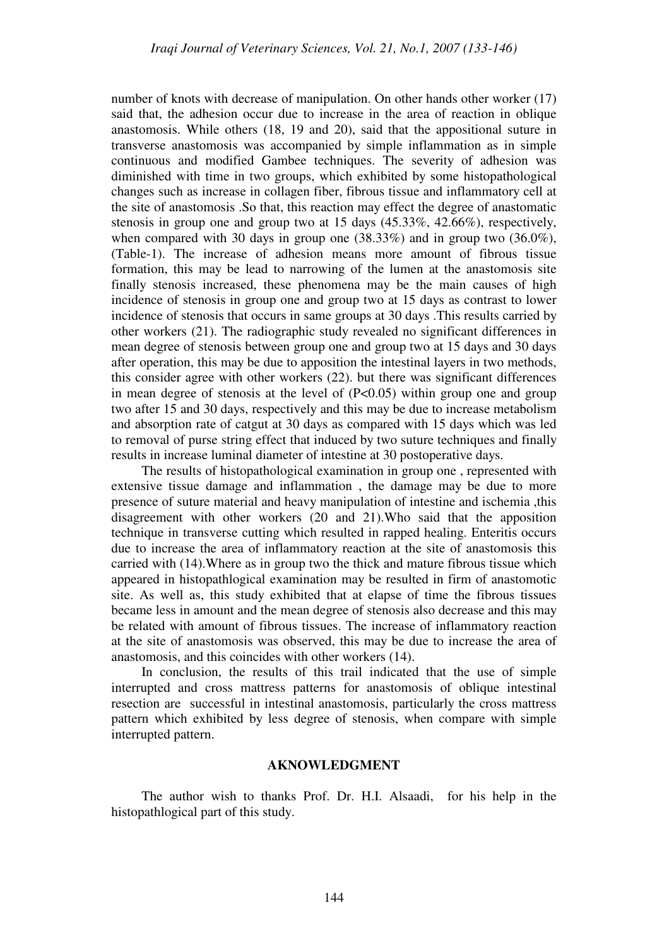number of knots with decrease of manipulation. On other hands other worker (17) said that, the adhesion occur due to increase in the area of reaction in oblique anastomosis. While others (18, 19 and 20), said that the appositional suture in transverse anastomosis was accompanied by simple inflammation as in simple continuous and modified Gambee techniques. The severity of adhesion was diminished with time in two groups, which exhibited by some histopathological changes such as increase in collagen fiber, fibrous tissue and inflammatory cell at the site of anastomosis .So that, this reaction may effect the degree of anastomatic stenosis in group one and group two at 15 days (45.33%, 42.66%), respectively, when compared with 30 days in group one (38.33%) and in group two (36.0%), (Table-1). The increase of adhesion means more amount of fibrous tissue formation, this may be lead to narrowing of the lumen at the anastomosis site finally stenosis increased, these phenomena may be the main causes of high incidence of stenosis in group one and group two at 15 days as contrast to lower incidence of stenosis that occurs in same groups at 30 days .This results carried by other workers (21). The radiographic study revealed no significant differences in mean degree of stenosis between group one and group two at 15 days and 30 days after operation, this may be due to apposition the intestinal layers in two methods, this consider agree with other workers (22). but there was significant differences in mean degree of stenosis at the level of  $(P<0.05)$  within group one and group two after 15 and 30 days, respectively and this may be due to increase metabolism and absorption rate of catgut at 30 days as compared with 15 days which was led to removal of purse string effect that induced by two suture techniques and finally results in increase luminal diameter of intestine at 30 postoperative days.

The results of histopathological examination in group one , represented with extensive tissue damage and inflammation , the damage may be due to more presence of suture material and heavy manipulation of intestine and ischemia ,this disagreement with other workers (20 and 21).Who said that the apposition technique in transverse cutting which resulted in rapped healing. Enteritis occurs due to increase the area of inflammatory reaction at the site of anastomosis this carried with (14).Where as in group two the thick and mature fibrous tissue which appeared in histopathlogical examination may be resulted in firm of anastomotic site. As well as, this study exhibited that at elapse of time the fibrous tissues became less in amount and the mean degree of stenosis also decrease and this may be related with amount of fibrous tissues. The increase of inflammatory reaction at the site of anastomosis was observed, this may be due to increase the area of anastomosis, and this coincides with other workers (14).

In conclusion, the results of this trail indicated that the use of simple interrupted and cross mattress patterns for anastomosis of oblique intestinal resection are successful in intestinal anastomosis, particularly the cross mattress pattern which exhibited by less degree of stenosis, when compare with simple interrupted pattern.

#### **AKNOWLEDGMENT**

The author wish to thanks Prof. Dr. H.I. Alsaadi, for his help in the histopathlogical part of this study.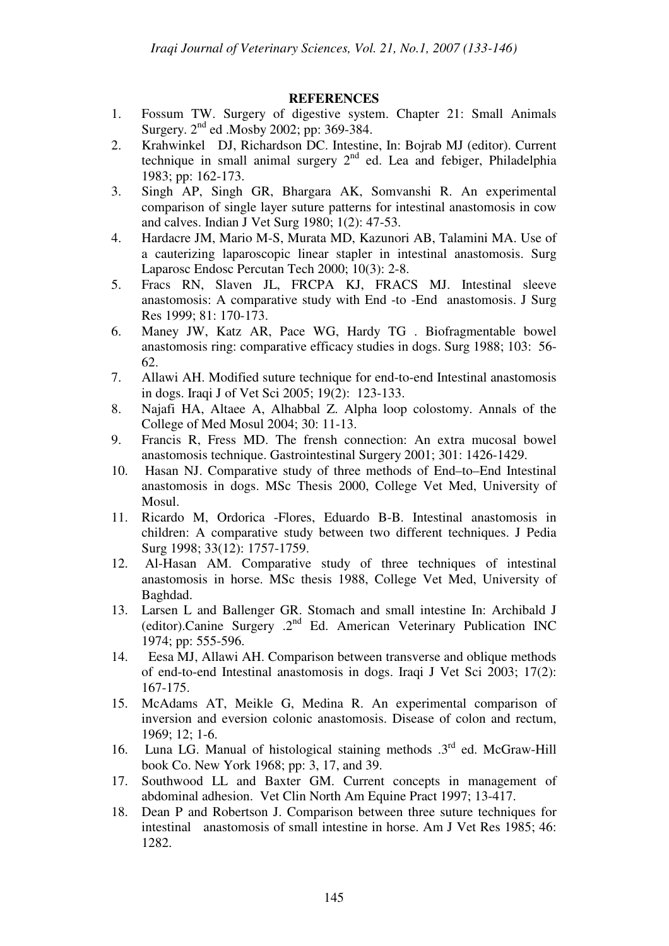# **REFERENCES**

- 1. Fossum TW. Surgery of digestive system. Chapter 21: Small Animals Surgery.  $2<sup>nd</sup>$  ed .Mosby 2002; pp: 369-384.
- 2. Krahwinkel DJ, Richardson DC. Intestine, In: Bojrab MJ (editor). Current technique in small animal surgery  $2<sup>nd</sup>$  ed. Lea and febiger, Philadelphia 1983; pp: 162-173.
- 3. Singh AP, Singh GR, Bhargara AK, Somvanshi R. An experimental comparison of single layer suture patterns for intestinal anastomosis in cow and calves. Indian J Vet Surg 1980; 1(2): 47-53.
- 4. Hardacre JM, Mario M-S, Murata MD, Kazunori AB, Talamini MA. Use of a cauterizing laparoscopic linear stapler in intestinal anastomosis. Surg Laparosc Endosc Percutan Tech 2000; 10(3): 2-8.
- 5. Fracs RN, Slaven JL, FRCPA KJ, FRACS MJ. Intestinal sleeve anastomosis: A comparative study with End -to -End anastomosis. J Surg Res 1999; 81: 170-173.
- 6. Maney JW, Katz AR, Pace WG, Hardy TG . Biofragmentable bowel anastomosis ring: comparative efficacy studies in dogs. Surg 1988; 103: 56- 62.
- 7. Allawi AH. Modified suture technique for end-to-end Intestinal anastomosis in dogs. Iraqi J of Vet Sci 2005; 19(2): 123-133.
- 8. Najafi HA, Altaee A, Alhabbal Z. Alpha loop colostomy. Annals of the College of Med Mosul 2004; 30: 11-13.
- 9. Francis R, Fress MD. The frensh connection: An extra mucosal bowel anastomosis technique. Gastrointestinal Surgery 2001; 301: 1426-1429.
- 10. Hasan NJ. Comparative study of three methods of End–to–End Intestinal anastomosis in dogs. MSc Thesis 2000, College Vet Med, University of Mosul.
- 11. Ricardo M, Ordorica -Flores, Eduardo B-B. Intestinal anastomosis in children: A comparative study between two different techniques. J Pedia Surg 1998; 33(12): 1757-1759.
- 12. Al-Hasan AM. Comparative study of three techniques of intestinal anastomosis in horse. MSc thesis 1988, College Vet Med, University of Baghdad.
- 13. Larsen L and Ballenger GR. Stomach and small intestine In: Archibald J (editor).Canine Surgery .2nd Ed. American Veterinary Publication INC 1974; pp: 555-596.
- 14. Eesa MJ, Allawi AH. Comparison between transverse and oblique methods of end-to-end Intestinal anastomosis in dogs. Iraqi J Vet Sci 2003; 17(2): 167-175.
- 15. McAdams AT, Meikle G, Medina R. An experimental comparison of inversion and eversion colonic anastomosis. Disease of colon and rectum, 1969; 12; 1-6.
- 16. Luna LG. Manual of histological staining methods  $.3<sup>rd</sup>$  ed. McGraw-Hill book Co. New York 1968; pp: 3, 17, and 39.
- 17. Southwood LL and Baxter GM. Current concepts in management of abdominal adhesion. Vet Clin North Am Equine Pract 1997; 13-417.
- 18. Dean P and Robertson J. Comparison between three suture techniques for intestinal anastomosis of small intestine in horse. Am J Vet Res 1985; 46: 1282.